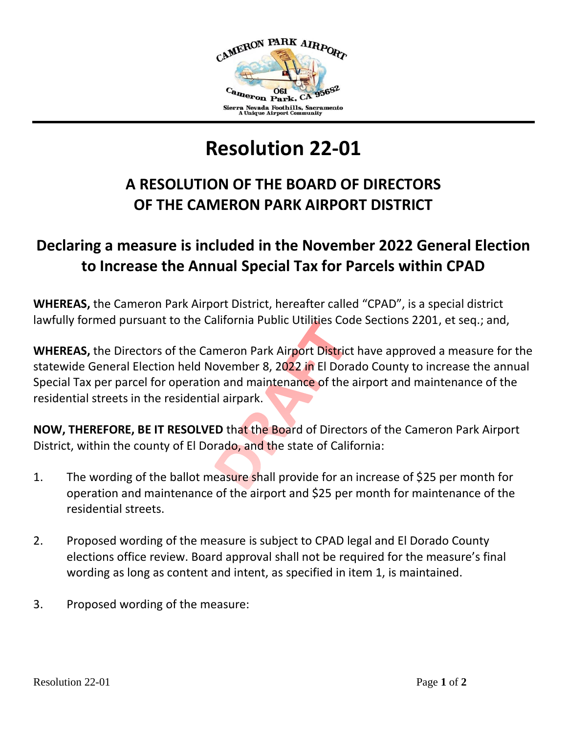

## **Resolution 22-01**

## **A RESOLUTION OF THE BOARD OF DIRECTORS OF THE CAMERON PARK AIRPORT DISTRICT**

## **Declaring a measure is included in the November 2022 General Election to Increase the Annual Special Tax for Parcels within CPAD**

**WHEREAS,** the Cameron Park Airport District, hereafter called "CPAD", is a special district lawfully formed pursuant to the California Public Utilities Code Sections 2201, et seq.; and,

**WHEREAS,** the Directors of the Cameron Park Airport District have approved a measure for the statewide General Election held November 8, 2022 in El Dorado County to increase the annual Special Tax per parcel for operation and maintenance of the airport and maintenance of the residential streets in the residential airpark.

**NOW, THEREFORE, BE IT RESOLVED** that the Board of Directors of the Cameron Park Airport District, within the county of El Dorado, and the state of California:

- 1. The wording of the ballot measure shall provide for an increase of \$25 per month for operation and maintenance of the airport and \$25 per month for maintenance of the residential streets.
- 2. Proposed wording of the measure is subject to CPAD legal and El Dorado County elections office review. Board approval shall not be required for the measure's final wording as long as content and intent, as specified in item 1, is maintained.
- 3. Proposed wording of the measure: